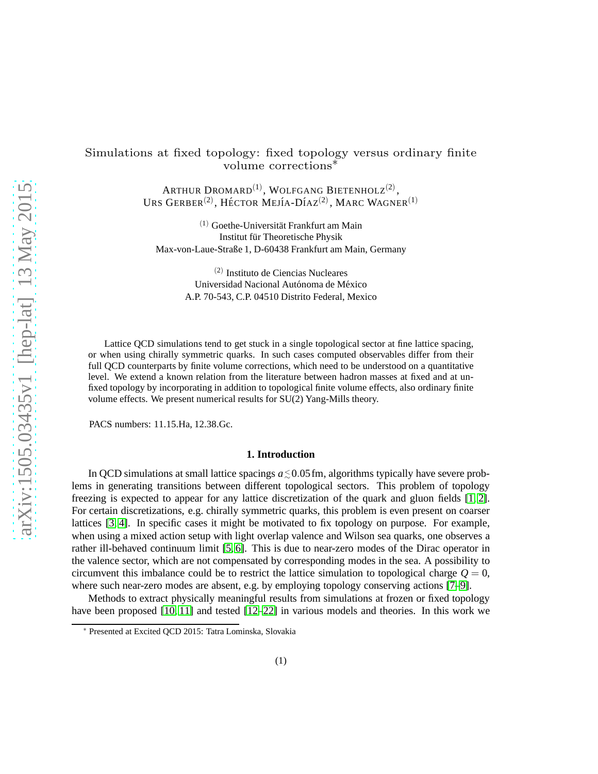# Simulations at fixed topology: fixed topology versus ordinary finite volume corrections∗

ARTHUR DROMARD $^{(1)}$ , WOLFGANG BIETENHOLZ $^{(2)}$ , URS GERBER $^{(2)}$ , HÉCTOR MEJÍA-DÍAZ $^{(2)}$ , Marc Wagner $^{(1)}$ 

 $(1)$  Goethe-Universität Frankfurt am Main Institut für Theoretische Physik Max-von-Laue-Straße 1, D-60438 Frankfurt am Main, Germany

> (2) Instituto de Ciencias Nucleares Universidad Nacional Autónoma de México A.P. 70-543, C.P. 04510 Distrito Federal, Mexico

Lattice QCD simulations tend to get stuck in a single topological sector at fine lattice spacing, or when using chirally symmetric quarks. In such cases computed observables differ from their full QCD counterparts by finite volume corrections, which need to be understood on a quantitative level. We extend a known relation from the literature between hadron masses at fixed and at unfixed topology by incorporating in addition to topological finite volume effects, also ordinary finite volume effects. We present numerical results for SU(2) Yang-Mills theory.

PACS numbers: 11.15.Ha, 12.38.Gc.

## **1. Introduction**

In QCD simulations at small lattice spacings  $a \le 0.05$  fm, algorithms typically have severe problems in generating transitions between different topological sectors. This problem of topology freezing is expected to appear for any lattice discretization of the quark and gluon fields [\[1,](#page-5-0) [2\]](#page-5-1). For certain discretizations, e.g. chirally symmetric quarks, this problem is even present on coarser lattices [\[3,](#page-5-2) [4\]](#page-5-3). In specific cases it might be motivated to fix topology on purpose. For example, when using a mixed action setup with light overlap valence and Wilson sea quarks, one observes a rather ill-behaved continuum limit [\[5,](#page-5-4) [6\]](#page-5-5). This is due to near-zero modes of the Dirac operator in the valence sector, which are not compensated by corresponding modes in the sea. A possibility to circumvent this imbalance could be to restrict the lattice simulation to topological charge  $Q = 0$ , where such near-zero modes are absent, e.g. by employing topology conserving actions [\[7](#page-5-6)[–9\]](#page-5-7).

Methods to extract physically meaningful results from simulations at frozen or fixed topology have been proposed [\[10,](#page-5-8) [11\]](#page-5-9) and tested [\[12–](#page-5-10)[22\]](#page-6-0) in various models and theories. In this work we

<sup>∗</sup> Presented at Excited QCD 2015: Tatra Lominska, Slovakia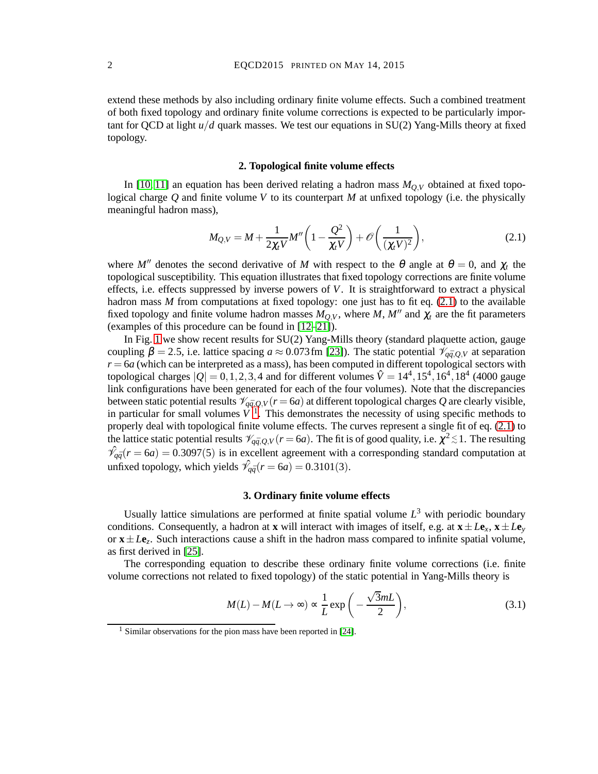extend these methods by also including ordinary finite volume effects. Such a combined treatment of both fixed topology and ordinary finite volume corrections is expected to be particularly important for QCD at light *u*/*d* quark masses. We test our equations in SU(2) Yang-Mills theory at fixed topology.

### **2. Topological finite volume effects**

<span id="page-1-3"></span>In [\[10,](#page-5-8) [11\]](#page-5-9) an equation has been derived relating a hadron mass  $M_{Q,V}$  obtained at fixed topological charge *Q* and finite volume *V* to its counterpart *M* at unfixed topology (i.e. the physically meaningful hadron mass),

<span id="page-1-0"></span>
$$
M_{Q,V} = M + \frac{1}{2\chi_t V} M'' \left( 1 - \frac{Q^2}{\chi_t V} \right) + \mathcal{O}\left(\frac{1}{(\chi_t V)^2}\right),\tag{2.1}
$$

where *M''* denotes the second derivative of *M* with respect to the  $\theta$  angle at  $\theta = 0$ , and  $\chi_t$  the topological susceptibility. This equation illustrates that fixed topology corrections are finite volume effects, i.e. effects suppressed by inverse powers of *V*. It is straightforward to extract a physical hadron mass *M* from computations at fixed topology: one just has to fit eq. [\(2.1\)](#page-1-0) to the available fixed topology and finite volume hadron masses  $M_{Q,V}$ , where  $M$ ,  $M''$  and  $\chi_t$  are the fit parameters (examples of this procedure can be found in [\[12](#page-5-10)[–21\]](#page-5-11)).

In Fig. [1](#page-2-0) we show recent results for SU(2) Yang-Mills theory (standard plaquette action, gauge coupling  $\beta = 2.5$ , i.e. lattice spacing  $a \approx 0.073$  fm [\[23\]](#page-6-1)). The static potential  $\mathcal{V}_{q\bar{q},Q,V}$  at separation  $r = 6a$  (which can be interpreted as a mass), has been computed in different topological sectors with topological charges  $|Q| = 0, 1, 2, 3, 4$  and for different volumes  $\hat{V} = 14^4, 15^4, 16^4, 18^4$  (4000 gauge link configurations have been generated for each of the four volumes). Note that the discrepancies between static potential results  $\mathcal{V}_{q\bar{q},Q,V}(r=6a)$  at different topological charges Q are clearly visible, in particular for small volumes  $V^T$ . This demonstrates the necessity of using specific methods to properly deal with topological finite volume effects. The curves represent a single fit of eq. [\(2.1\)](#page-1-0) to the lattice static potential results  $\mathcal{V}_{q\bar{q},Q,V}(r=6a)$ . The fit is of good quality, i.e.  $\chi^2 \lesssim 1$ . The resulting  $\hat{\mathcal{V}}_{q\bar{q}}(r=6a) = 0.3097(5)$  is in excellent agreement with a corresponding standard computation at unfixed topology, which yields  $\hat{\mathcal{V}}_{q\bar{q}}(r=6a) = 0.3101(3)$ .

#### **3. Ordinary finite volume effects**

Usually lattice simulations are performed at finite spatial volume  $L<sup>3</sup>$  with periodic boundary conditions. Consequently, a hadron at **x** will interact with images of itself, e.g. at  $\mathbf{x} \pm L\mathbf{e}_x$ ,  $\mathbf{x} \pm L\mathbf{e}_y$ or  $\mathbf{x} \pm L\mathbf{e}_z$ . Such interactions cause a shift in the hadron mass compared to infinite spatial volume, as first derived in [\[25\]](#page-6-2).

The corresponding equation to describe these ordinary finite volume corrections (i.e. finite volume corrections not related to fixed topology) of the static potential in Yang-Mills theory is

<span id="page-1-2"></span>
$$
M(L) - M(L \to \infty) \propto \frac{1}{L} \exp\left(-\frac{\sqrt{3}mL}{2}\right),\tag{3.1}
$$

<span id="page-1-1"></span><sup>&</sup>lt;sup>1</sup> Similar observations for the pion mass have been reported in [\[24\]](#page-6-3).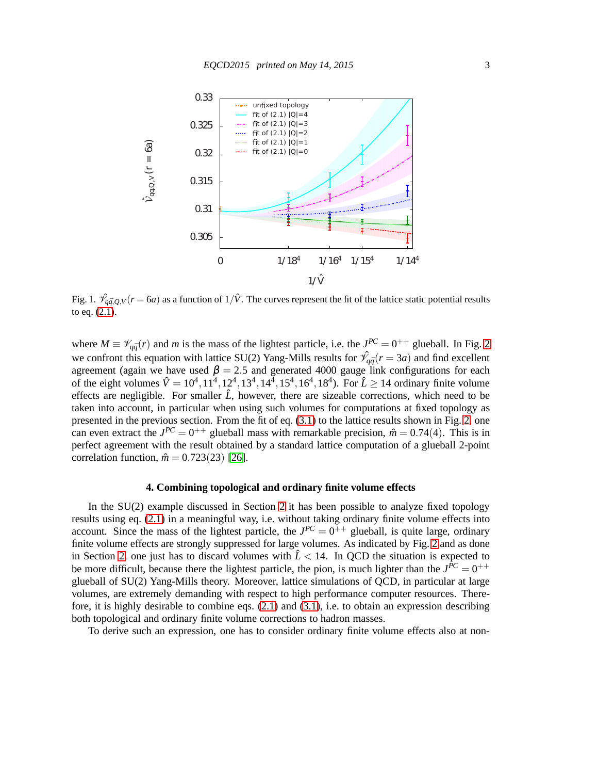

<span id="page-2-0"></span>Fig. 1.  $\hat{\mathcal{V}}_{q\bar{q},Q,V}(r=6a)$  as a function of  $1/\hat{V}$ . The curves represent the fit of the lattice static potential results to eq. [\(2.1\)](#page-1-0).

where  $M \equiv \mathcal{V}_{q\bar{q}}(r)$  and *m* is the mass of the lightest particle, i.e. the  $J^{PC} = 0^{++}$  glueball. In Fig. [2](#page-3-0) we confront this equation with lattice SU(2) Yang-Mills results for  $\hat{\gamma}_{q\bar{q}}(r=3a)$  and find excellent agreement (again we have used  $\beta = 2.5$  and generated 4000 gauge link configurations for each of the eight volumes  $\hat{V} = 10^4, 11^4, 12^4, 13^4, 14^4, 15^4, 16^4, 18^4$ ). For  $\hat{L} \ge 14$  ordinary finite volume effects are negligible. For smaller  $\hat{L}$ , however, there are sizeable corrections, which need to be taken into account, in particular when using such volumes for computations at fixed topology as presented in the previous section. From the fit of eq. [\(3.1\)](#page-1-2) to the lattice results shown in Fig. [2,](#page-3-0) one can even extract the  $J^{PC} = 0^{++}$  glueball mass with remarkable precision,  $\hat{m} = 0.74(4)$ . This is in perfect agreement with the result obtained by a standard lattice computation of a glueball 2-point correlation function,  $\hat{m} = 0.723(23)$  [\[26\]](#page-6-4).

#### **4. Combining topological and ordinary finite volume effects**

In the SU(2) example discussed in Section [2](#page-1-3) it has been possible to analyze fixed topology results using eq. [\(2.1\)](#page-1-0) in a meaningful way, i.e. without taking ordinary finite volume effects into account. Since the mass of the lightest particle, the  $J^{PC} = 0^{++}$  glueball, is quite large, ordinary finite volume effects are strongly suppressed for large volumes. As indicated by Fig. [2](#page-3-0) and as done in Section [2,](#page-1-3) one just has to discard volumes with  $\hat{L}$  < 14. In QCD the situation is expected to be more difficult, because there the lightest particle, the pion, is much lighter than the  $J^{\bar{P}C} = 0^{++}$ glueball of SU(2) Yang-Mills theory. Moreover, lattice simulations of QCD, in particular at large volumes, are extremely demanding with respect to high performance computer resources. Therefore, it is highly desirable to combine eqs. [\(2.1\)](#page-1-0) and [\(3.1\)](#page-1-2), i.e. to obtain an expression describing both topological and ordinary finite volume corrections to hadron masses.

To derive such an expression, one has to consider ordinary finite volume effects also at non-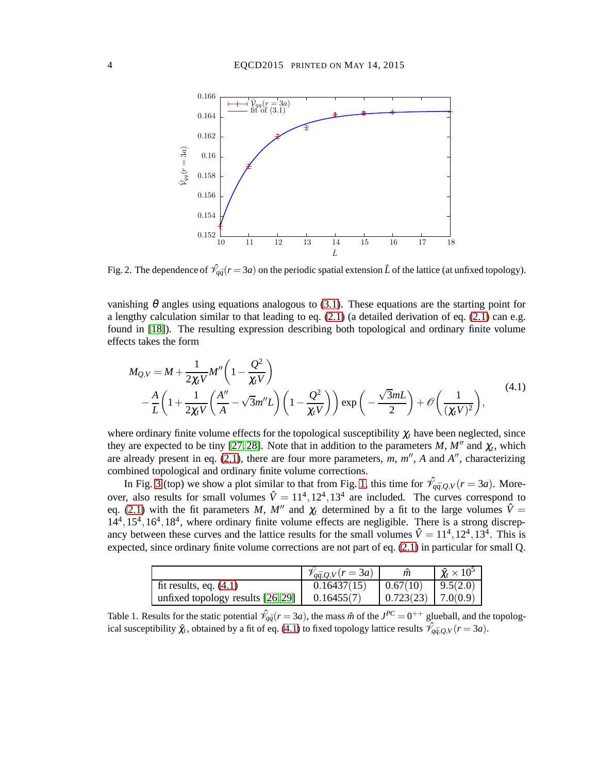

<span id="page-3-0"></span>Fig. 2. The dependence of  $\hat{\mathcal{V}}_{q\bar{q}}(r=3a)$  on the periodic spatial extension  $\hat{L}$  of the lattice (at unfixed topology).

vanishing  $\theta$  angles using equations analogous to [\(3.1\)](#page-1-2). These equations are the starting point for a lengthy calculation similar to that leading to eq.  $(2.1)$  (a detailed derivation of eq.  $(2.1)$  can e.g. found in [\[18\]](#page-5-12)). The resulting expression describing both topological and ordinary finite volume effects takes the form

<span id="page-3-1"></span>
$$
M_{Q,V} = M + \frac{1}{2\chi_t V} M'' \left( 1 - \frac{Q^2}{\chi_t V} \right)
$$
  
 
$$
- \frac{A}{L} \left( 1 + \frac{1}{2\chi_t V} \left( \frac{A''}{A} - \sqrt{3} m'' L \right) \left( 1 - \frac{Q^2}{\chi_t V} \right) \right) \exp \left( -\frac{\sqrt{3} m L}{2} \right) + \mathcal{O} \left( \frac{1}{(\chi_t V)^2} \right),
$$
  
(4.1)

where ordinary finite volume effects for the topological susceptibility  $\chi_t$  have been neglected, since they are expected to be tiny [\[27,](#page-6-5) [28\]](#page-6-6). Note that in addition to the parameters  $M$ ,  $M''$  and  $\chi_t$ , which are already present in eq. [\(2.1\)](#page-1-0), there are four more parameters, *m*, *m* ′′ , *A* and *A* ′′, characterizing combined topological and ordinary finite volume corrections.

In Fig. [3](#page-4-0) (top) we show a plot similar to that from Fig. [1,](#page-2-0) this time for  $\hat{\mathcal{V}}_{q\bar{q},Q,V}(r=3a)$ . Moreover, also results for small volumes  $\hat{V} = 11^4, 12^4, 13^4$  are included. The curves correspond to eq. [\(2.1\)](#page-1-0) with the fit parameters *M*, *M''* and  $\chi_t$  determined by a fit to the large volumes  $\hat{V}$  = 14<sup>4</sup>, 15<sup>4</sup>, 16<sup>4</sup>, 18<sup>4</sup>, where ordinary finite volume effects are negligible. There is a strong discrepancy between these curves and the lattice results for the small volumes  $\hat{V} = 11^4, 12^4, 13^4$ . This is expected, since ordinary finite volume corrections are not part of eq. [\(2.1\)](#page-1-0) in particular for small Q.

|                                     | $\mathscr{V}_{q\bar{q},Q,V}(r=3a)$ |                        | $\hat{\chi}_t \times 10^5$ |
|-------------------------------------|------------------------------------|------------------------|----------------------------|
| fit results, eq. $(4.1)$            | 0.16437(15)                        | 0.67(10)               | 9.5(2.0)                   |
| unfixed topology results $[26, 29]$ | 0.16455(7)                         | $0.723(23)$   7.0(0.9) |                            |

<span id="page-3-2"></span>Table 1. Results for the static potential  $\hat{\mathcal{V}}_{q\bar{q}}(r=3a)$ , the mass  $\hat{m}$  of the  $J^{PC}=0^{++}$  glueball, and the topological susceptibility  $\hat{\chi}_t$ , obtained by a fit of eq. [\(4.1\)](#page-3-1) to fixed topology lattice results  $\hat{\mathcal{V}}_{q\bar{q},Q,V}(r=3a)$ .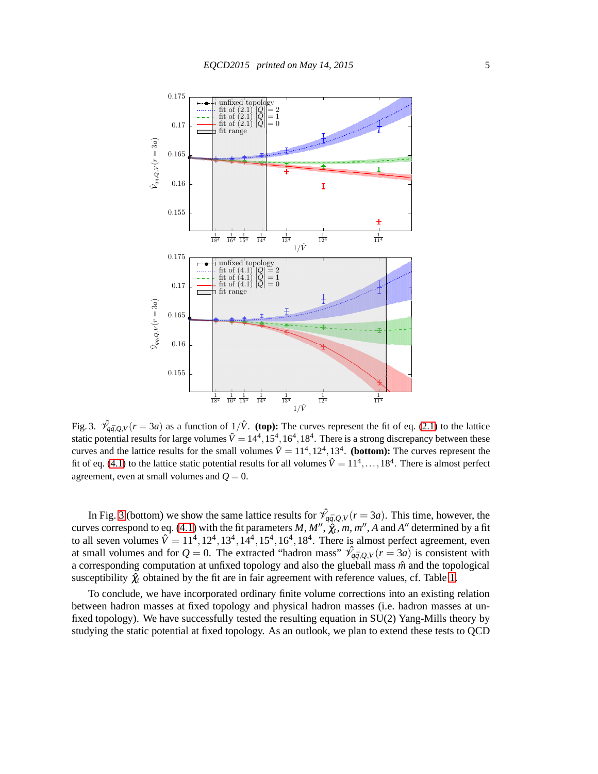

<span id="page-4-0"></span>Fig. 3.  $\hat{\mathcal{V}}_{q\bar{q},Q,V}(r=3a)$  as a function of  $1/\hat{V}$ . (top): The curves represent the fit of eq. [\(2.1\)](#page-1-0) to the lattice static potential results for large volumes  $\hat{V} = 14^4, 15^4, 16^4, 18^4$ . There is a strong discrepancy between these curves and the lattice results for the small volumes  $\hat{V} = 11^4, 12^4, 13^4$ . (**bottom**): The curves represent the fit of eq. [\(4.1\)](#page-3-1) to the lattice static potential results for all volumes  $\hat{V} = 11^4, \dots, 18^4$ . There is almost perfect agreement, even at small volumes and  $Q = 0$ .

In Fig. [3](#page-4-0) (bottom) we show the same lattice results for  $\hat{\mathcal{V}}_{q\bar{q},Q,V}(r=3a)$ . This time, however, the curves correspond to eq. [\(4.1\)](#page-3-1) with the fit parameters  $M, M'', \hat{\chi}_t, m, m'', A$  and  $A''$  determined by a fit to all seven volumes  $\hat{V} = 11^4, 12^4, 13^4, 14^4, 15^4, 16^4, 18^4$ . There is almost perfect agreement, even at small volumes and for  $Q = 0$ . The extracted "hadron mass"  $\hat{\gamma}_{q\bar{q},Q,V}(r=3a)$  is consistent with a corresponding computation at unfixed topology and also the glueball mass  $\hat{m}$  and the topological susceptibility  $\hat{\chi}_t$  obtained by the fit are in fair agreement with reference values, cf. Table [1.](#page-3-2)

To conclude, we have incorporated ordinary finite volume corrections into an existing relation between hadron masses at fixed topology and physical hadron masses (i.e. hadron masses at unfixed topology). We have successfully tested the resulting equation in SU(2) Yang-Mills theory by studying the static potential at fixed topology. As an outlook, we plan to extend these tests to QCD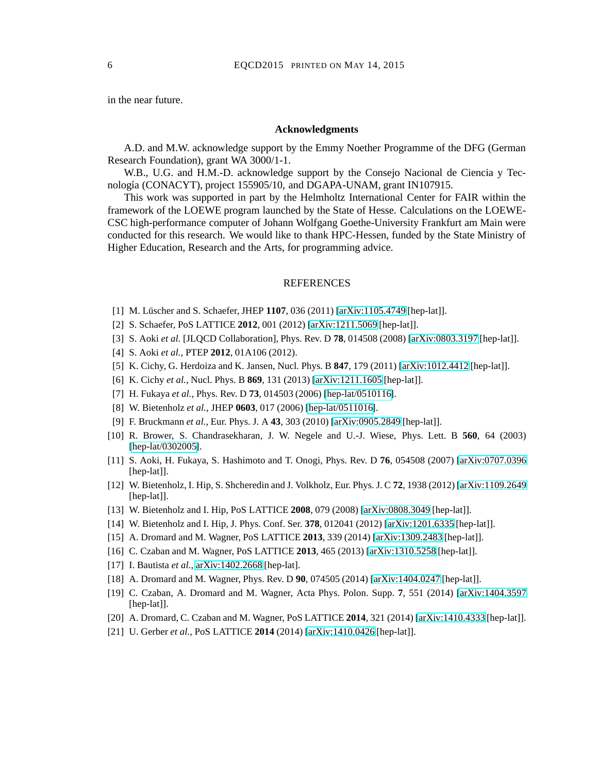in the near future.

## **Acknowledgments**

A.D. and M.W. acknowledge support by the Emmy Noether Programme of the DFG (German Research Foundation), grant WA 3000/1-1.

W.B., U.G. and H.M.-D. acknowledge support by the Consejo Nacional de Ciencia y Tecnología (CONACYT), project 155905/10, and DGAPA-UNAM, grant IN107915.

This work was supported in part by the Helmholtz International Center for FAIR within the framework of the LOEWE program launched by the State of Hesse. Calculations on the LOEWE-CSC high-performance computer of Johann Wolfgang Goethe-University Frankfurt am Main were conducted for this research. We would like to thank HPC-Hessen, funded by the State Ministry of Higher Education, Research and the Arts, for programming advice.

#### **REFERENCES**

- <span id="page-5-1"></span><span id="page-5-0"></span>[1] M. Lüscher and S. Schaefer, JHEP 1107, 036 (2011) [\[arXiv:1105.4749](http://arxiv.org/abs/1105.4749) [hep-lat]].
- <span id="page-5-2"></span>[2] S. Schaefer, PoS LATTICE **2012**, 001 (2012) [\[arXiv:1211.5069](http://arxiv.org/abs/1211.5069) [hep-lat]].
- <span id="page-5-3"></span>[3] S. Aoki *et al.* [JLQCD Collaboration], Phys. Rev. D **78**, 014508 (2008) [\[arXiv:0803.3197](http://arxiv.org/abs/0803.3197) [hep-lat]].
- <span id="page-5-4"></span>[4] S. Aoki *et al.*, PTEP **2012**, 01A106 (2012).
- <span id="page-5-5"></span>[5] K. Cichy, G. Herdoiza and K. Jansen, Nucl. Phys. B **847**, 179 (2011) [\[arXiv:1012.4412](http://arxiv.org/abs/1012.4412) [hep-lat]].
- <span id="page-5-6"></span>[6] K. Cichy *et al.*, Nucl. Phys. B **869**, 131 (2013) [\[arXiv:1211.1605](http://arxiv.org/abs/1211.1605) [hep-lat]].
- [7] H. Fukaya *et al.*, Phys. Rev. D **73**, 014503 (2006) [\[hep-lat/0510116\]](http://arxiv.org/abs/hep-lat/0510116).
- <span id="page-5-7"></span>[8] W. Bietenholz *et al.*, JHEP **0603**, 017 (2006) [\[hep-lat/0511016\]](http://arxiv.org/abs/hep-lat/0511016).
- <span id="page-5-8"></span>[9] F. Bruckmann *et al.*, Eur. Phys. J. A **43**, 303 (2010) [\[arXiv:0905.2849](http://arxiv.org/abs/0905.2849) [hep-lat]].
- [10] R. Brower, S. Chandrasekharan, J. W. Negele and U.-J. Wiese, Phys. Lett. B **560**, 64 (2003) [\[hep-lat/0302005\]](http://arxiv.org/abs/hep-lat/0302005).
- <span id="page-5-9"></span>[11] S. Aoki, H. Fukaya, S. Hashimoto and T. Onogi, Phys. Rev. D **76**, 054508 (2007) [\[arXiv:0707.0396](http://arxiv.org/abs/0707.0396) [hep-lat]].
- <span id="page-5-10"></span>[12] W. Bietenholz, I. Hip, S. Shcheredin and J. Volkholz, Eur. Phys. J. C **72**, 1938 (2012) [\[arXiv:1109.2649](http://arxiv.org/abs/1109.2649) [hep-lat]].
- [13] W. Bietenholz and I. Hip, PoS LATTICE **2008**, 079 (2008) [\[arXiv:0808.3049](http://arxiv.org/abs/0808.3049) [hep-lat]].
- [14] W. Bietenholz and I. Hip, J. Phys. Conf. Ser. **378**, 012041 (2012) [\[arXiv:1201.6335](http://arxiv.org/abs/1201.6335) [hep-lat]].
- [15] A. Dromard and M. Wagner, PoS LATTICE **2013**, 339 (2014) [\[arXiv:1309.2483](http://arxiv.org/abs/1309.2483) [hep-lat]].
- [16] C. Czaban and M. Wagner, PoS LATTICE **2013**, 465 (2013) [\[arXiv:1310.5258](http://arxiv.org/abs/1310.5258) [hep-lat]].
- <span id="page-5-12"></span>[17] I. Bautista *et al.*, [arXiv:1402.2668](http://arxiv.org/abs/1402.2668) [hep-lat].
- [18] A. Dromard and M. Wagner, Phys. Rev. D **90**, 074505 (2014) [\[arXiv:1404.0247](http://arxiv.org/abs/1404.0247) [hep-lat]].
- [19] C. Czaban, A. Dromard and M. Wagner, Acta Phys. Polon. Supp. **7**, 551 (2014) [\[arXiv:1404.3597](http://arxiv.org/abs/1404.3597) [hep-lat]].
- <span id="page-5-11"></span>[20] A. Dromard, C. Czaban and M. Wagner, PoS LATTICE **2014**, 321 (2014) [\[arXiv:1410.4333](http://arxiv.org/abs/1410.4333) [hep-lat]].
- [21] U. Gerber *et al.*, PoS LATTICE **2014** (2014) [\[arXiv:1410.0426](http://arxiv.org/abs/1410.0426) [hep-lat]].